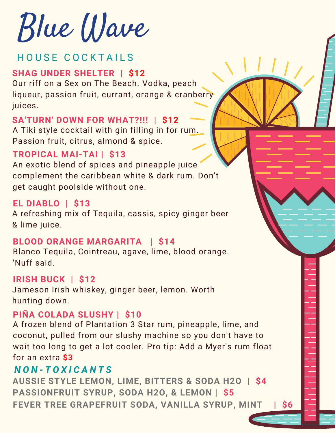Blue Wave

# HOUSE COCKTAILS

## **SHAG UNDER SHELTER | \$12**

Our riff on a Sex on The Beach. Vodka, peach liqueur, passion fruit, currant, orange & cranberry juices.

## **SA'TURN' DOWN FOR WHAT?!!! | \$12**

A Tiki style cocktail with gin filling in for rum. Passion fruit, citrus, almond & spice.

## **TROPICAL MAI-TAI | \$13**

An exotic blend of spices and pineapple juice complement the caribbean white & dark rum. Don't get caught poolside without one.

## **EL DIABLO | \$13**

A refreshing mix of Tequila, cassis, spicy ginger beer & lime juice.

### **BLOOD ORANGE MARGARITA | \$14**

Blanco Tequila, Cointreau, agave, lime, blood orange. 'Nuff said.

### **IRISH BUCK | \$12**

Jameson Irish whiskey, ginger beer, lemon. Worth hunting down.

### **PIÑA COLADA SLUSHY | \$10**

A frozen blend of Plantation 3 Star rum, pineapple, lime, and coconut, pulled from our slushy machine so you don't have to wait too long to get a lot cooler. Pro tip: Add a Myer's rum float for an extra **\$3**

## *N O N - T O X I C A N T S*

**AUSSIE STYLE LEMON, LIME, BITTERS & SODA H2O | \$4 PASSIONFRUIT SYRUP, SODA H2O, & LEMON | \$5 FEVER TREE GRAPEFRUIT SODA, VANILLA SYRUP, MINT | \$6**